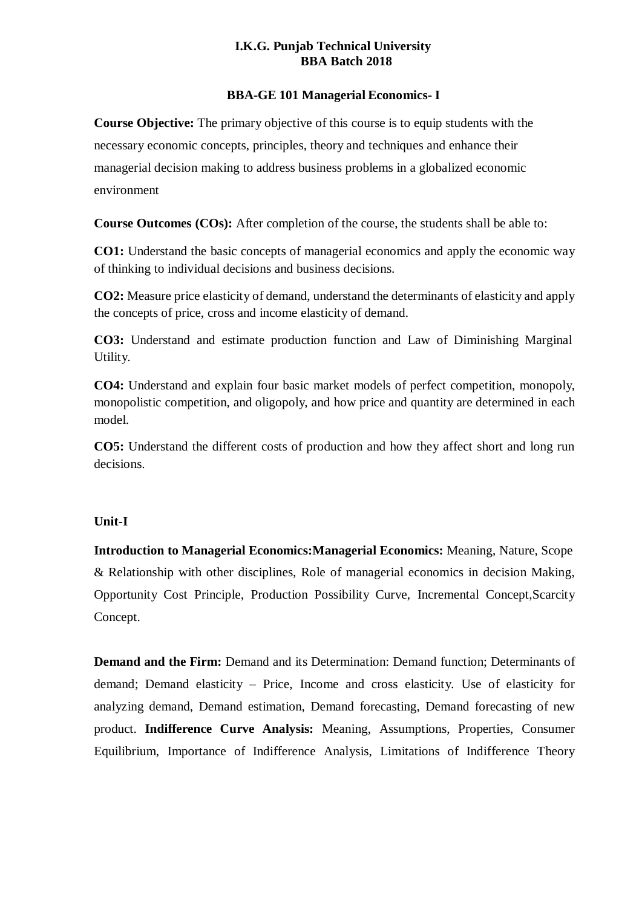#### **I.K.G. Punjab Technical University BBA Batch 2018**

#### **BBA-GE 101 Managerial Economics- I**

**Course Objective:** The primary objective of this course is to equip students with the necessary economic concepts, principles, theory and techniques and enhance their managerial decision making to address business problems in a globalized economic environment

**Course Outcomes (COs):** After completion of the course, the students shall be able to:

**CO1:** Understand the basic concepts of managerial economics and apply the economic way of thinking to individual decisions and business decisions.

**CO2:** Measure price elasticity of demand, understand the determinants of elasticity and apply the concepts of price, cross and income elasticity of demand.

**CO3:** Understand and estimate production function and Law of Diminishing Marginal Utility.

**CO4:** Understand and explain four basic market models of perfect competition, monopoly, monopolistic competition, and oligopoly, and how price and quantity are determined in each model.

**CO5:** Understand the different costs of production and how they affect short and long run decisions.

## **Unit-I**

**Introduction to Managerial Economics:Managerial Economics:** Meaning, Nature, Scope & Relationship with other disciplines, Role of managerial economics in decision Making, Opportunity Cost Principle, Production Possibility Curve, Incremental Concept,Scarcity Concept.

**Demand and the Firm:** Demand and its Determination: Demand function; Determinants of demand; Demand elasticity – Price, Income and cross elasticity. Use of elasticity for analyzing demand, Demand estimation, Demand forecasting, Demand forecasting of new product. **Indifference Curve Analysis:** Meaning, Assumptions, Properties, Consumer Equilibrium, Importance of Indifference Analysis, Limitations of Indifference Theory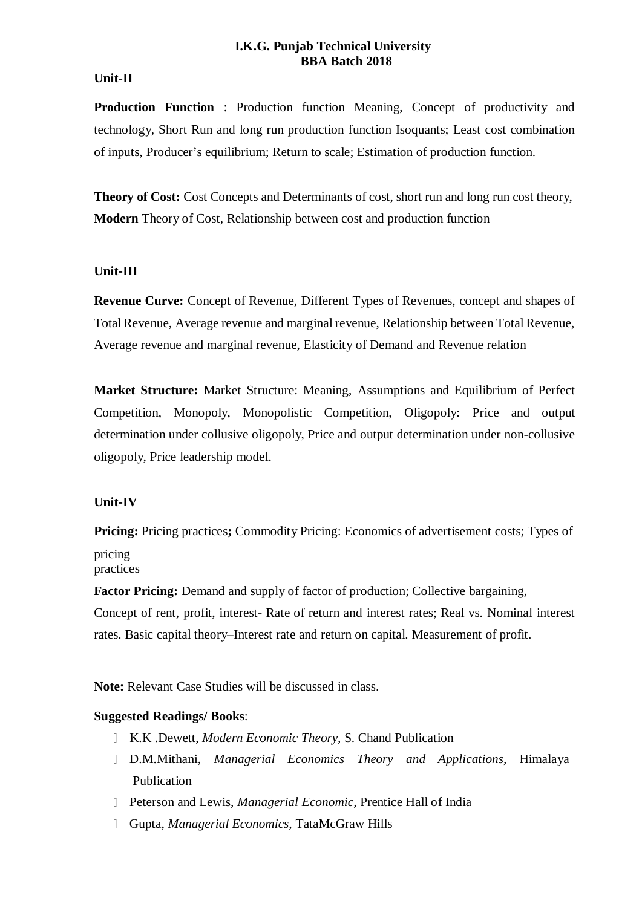#### **I.K.G. Punjab Technical University BBA Batch 2018**

## **Unit-II**

**Production Function** : Production function Meaning, Concept of productivity and technology, Short Run and long run production function Isoquants; Least cost combination of inputs, Producer's equilibrium; Return to scale; Estimation of production function.

**Theory of Cost:** Cost Concepts and Determinants of cost, short run and long run cost theory, **Modern** Theory of Cost, Relationship between cost and production function

## **Unit-III**

**Revenue Curve:** Concept of Revenue, Different Types of Revenues, concept and shapes of Total Revenue, Average revenue and marginal revenue, Relationship between Total Revenue, Average revenue and marginal revenue, Elasticity of Demand and Revenue relation

**Market Structure:** Market Structure: Meaning, Assumptions and Equilibrium of Perfect Competition, Monopoly, Monopolistic Competition, Oligopoly: Price and output determination under collusive oligopoly, Price and output determination under non-collusive oligopoly, Price leadership model.

# **Unit-IV**

**Pricing:** Pricing practices**;** Commodity Pricing: Economics of advertisement costs; Types of pricing practices

**Factor Pricing:** Demand and supply of factor of production; Collective bargaining,

Concept of rent, profit, interest- Rate of return and interest rates; Real vs. Nominal interest rates. Basic capital theory–Interest rate and return on capital. Measurement of profit.

**Note:** Relevant Case Studies will be discussed in class.

## **Suggested Readings/ Books**:

- K.K .Dewett, *Modern Economic Theory,* S. Chand Publication
- D.M.Mithani, *Managerial Economics Theory and Applications,* Himalaya Publication
- Peterson and Lewis, *Managerial Economic,* Prentice Hall of India
- Gupta, *Managerial Economics,* TataMcGraw Hills